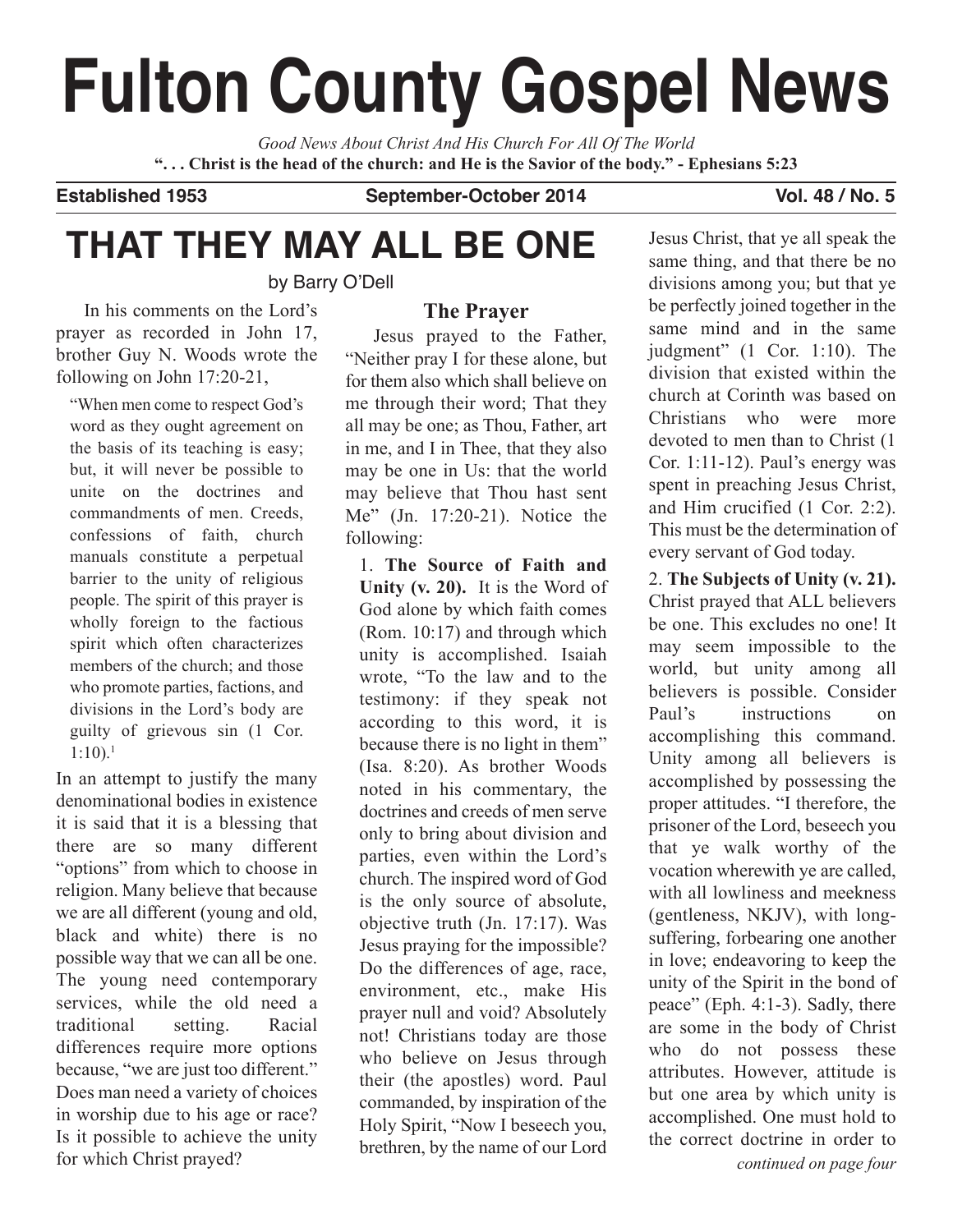# **Fulton County Gospel News**

*Good News About Christ And His Church For All Of The World* "... Christ is the head of the church: and He is the Savior of the body." - Ephesians 5:23

**Established 1953 September-October 2014 Vol. 48 / No. 5**

## **THAT THEY MAY ALL BE ONE**

by Barry O'Dell

#### **The Prayer**

In his comments on the Lord's prayer as recorded in John 17, brother Guy N. Woods wrote the following on John 17:20-21,

"When men come to respect God's word as they ought agreement on the basis of its teaching is easy; but, it will never be possible to unite on the doctrines and commandments of men. Creeds, confessions of faith, church manuals constitute a perpetual barrier to the unity of religious people. The spirit of this prayer is wholly foreign to the factious spirit which often characterizes members of the church; and those who promote parties, factions, and divisions in the Lord's body are guilty of grievous sin (1 Cor.  $1:10$ ).<sup>1</sup>

In an attempt to justify the many denominational bodies in existence it is said that it is a blessing that there are so many different "options" from which to choose in religion. Many believe that because we are all different (young and old, black and white) there is no possible way that we can all be one. The young need contemporary services, while the old need a traditional setting. Racial differences require more options because, "we are just too different." Does man need a variety of choices in worship due to his age or race? Is it possible to achieve the unity for which Christ prayed?

Jesus prayed to the Father, "Neither pray I for these alone, but for them also which shall believe on me through their word; That they all may be one; as Thou, Father, art in me, and I in Thee, that they also may be one in Us: that the world may believe that Thou hast sent Me" (Jn. 17:20-21). Notice the following:

1. **The Source of Faith and Unity (v. 20).** It is the Word of God alone by which faith comes (Rom. 10:17) and through which unity is accomplished. Isaiah wrote, "To the law and to the testimony: if they speak not according to this word, it is because there is no light in them" (Isa. 8:20). As brother Woods noted in his commentary, the doctrines and creeds of men serve only to bring about division and parties, even within the Lord's church. The inspired word of God is the only source of absolute, objective truth (Jn. 17:17). Was Jesus praying for the impossible? Do the differences of age, race, environment, etc., make His prayer null and void? Absolutely not! Christians today are those who believe on Jesus through their (the apostles) word. Paul commanded, by inspiration of the Holy Spirit, "Now I beseech you, brethren, by the name of our Lord

Jesus Christ, that ye all speak the same thing, and that there be no divisions among you; but that ye be perfectly joined together in the same mind and in the same judgment" (1 Cor. 1:10). The division that existed within the church at Corinth was based on Christians who were more devoted to men than to Christ (1 Cor. 1:11-12). Paul's energy was spent in preaching Jesus Christ, and Him crucified (1 Cor. 2:2). This must be the determination of every servant of God today.

2. **The Subjects of Unity (v. 21).** Christ prayed that ALL believers be one. This excludes no one! It may seem impossible to the world, but unity among all believers is possible. Consider Paul's instructions on accomplishing this command. Unity among all believers is accomplished by possessing the proper attitudes. "I therefore, the prisoner of the Lord, beseech you that ye walk worthy of the vocation wherewith ye are called, with all lowliness and meekness (gentleness, NKJV), with longsuffering, forbearing one another in love; endeavoring to keep the unity of the Spirit in the bond of peace" (Eph. 4:1-3). Sadly, there are some in the body of Christ who do not possess these attributes. However, attitude is but one area by which unity is accomplished. One must hold to the correct doctrine in order to *continued on page four*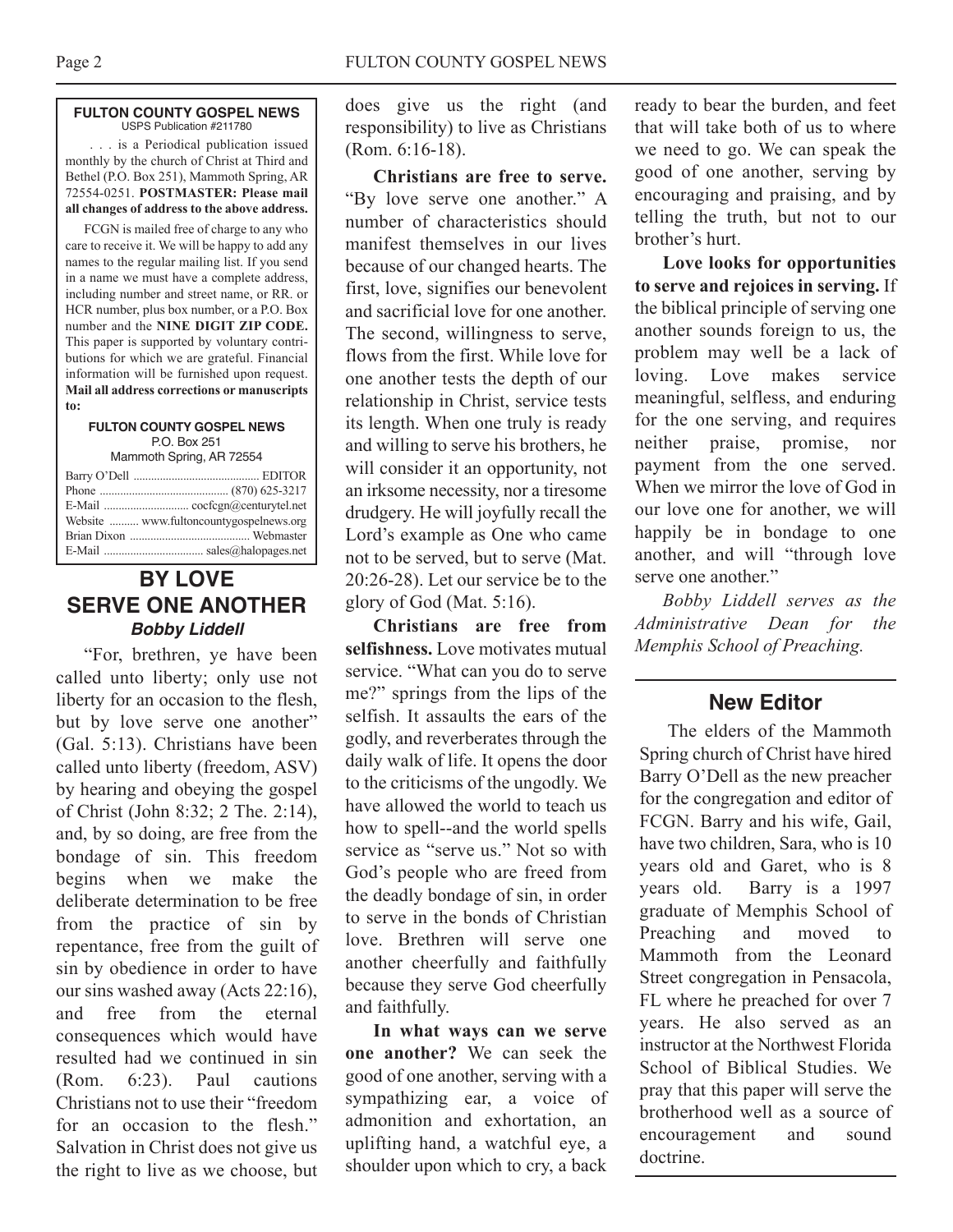#### **FULTON COUNTY GOSPEL NEWS** USPS Publication #211780

. . . is a Periodical publication issued monthly by the church of Christ at Third and Bethel (P.O. Box 251), Mammoth Spring, AR 72554-0251. **POSTMASTER: Please mail all changes of address to the above address.**

FCGN is mailed free of charge to any who care to receive it. We will be happy to add any names to the regular mailing list. If you send in a name we must have a complete address, including number and street name, or RR. or HCR number, plus box number, or a P.O. Box number and the **NINE DIGIT ZIP CODE.** This paper is supported by voluntary contributions for which we are grateful. Financial information will be furnished upon request. **Mail all address corrections or manuscripts to:**

#### **FULTON COUNTY GOSPEL NEWS** P.O. Box 251

Mammoth Spring, AR 72554

| Website  www.fultoncountygospelnews.org |
|-----------------------------------------|
|                                         |
|                                         |

### **BY LOVE SERVE ONE ANOTHER Bobby Liddell**

"For, brethren, ye have been called unto liberty; only use not liberty for an occasion to the flesh, but by love serve one another" (Gal. 5:13). Christians have been called unto liberty (freedom, ASV) by hearing and obeying the gospel of Christ (John 8:32; 2 The. 2:14), and, by so doing, are free from the bondage of sin. This freedom begins when we make the deliberate determination to be free from the practice of sin by repentance, free from the guilt of sin by obedience in order to have our sins washed away (Acts 22:16), and free from the eternal consequences which would have resulted had we continued in sin (Rom. 6:23). Paul cautions Christians not to use their "freedom for an occasion to the flesh." Salvation in Christ does not give us the right to live as we choose, but

does give us the right (and responsibility) to live as Christians (Rom. 6:16-18).

**Christians are free to serve.** "By love serve one another." A number of characteristics should manifest themselves in our lives because of our changed hearts. The first, love, signifies our benevolent and sacrificial love for one another. The second, willingness to serve, flows from the first. While love for one another tests the depth of our relationship in Christ, service tests its length. When one truly is ready and willing to serve his brothers, he will consider it an opportunity, not an irksome necessity, nor a tiresome drudgery. He will joyfully recall the Lord's example as One who came not to be served, but to serve (Mat. 20:26-28). Let our service be to the glory of God (Mat. 5:16).

**Christians are free from selfishness.** Love motivates mutual service. "What can you do to serve me?" springs from the lips of the selfish. It assaults the ears of the godly, and reverberates through the daily walk of life. It opens the door to the criticisms of the ungodly. We have allowed the world to teach us how to spell--and the world spells service as "serve us." Not so with God's people who are freed from the deadly bondage of sin, in order to serve in the bonds of Christian love. Brethren will serve one another cheerfully and faithfully because they serve God cheerfully and faithfully.

**In what ways can we serve one another?** We can seek the good of one another, serving with a sympathizing ear, a voice of admonition and exhortation, an uplifting hand, a watchful eye, a shoulder upon which to cry, a back

ready to bear the burden, and feet that will take both of us to where we need to go. We can speak the good of one another, serving by encouraging and praising, and by telling the truth, but not to our brother's hurt.

**Love looks for opportunities to serve and rejoices in serving.** If the biblical principle of serving one another sounds foreign to us, the problem may well be a lack of loving. Love makes service meaningful, selfless, and enduring for the one serving, and requires neither praise, promise, nor payment from the one served. When we mirror the love of God in our love one for another, we will happily be in bondage to one another, and will "through love serve one another."

*Bobby Liddell serves as the Administrative Dean for the Memphis School of Preaching.*

#### **New Editor**

The elders of the Mammoth Spring church of Christ have hired Barry O'Dell as the new preacher for the congregation and editor of FCGN. Barry and his wife, Gail, have two children, Sara, who is 10 years old and Garet, who is 8 years old. Barry is a 1997 graduate of Memphis School of Preaching and moved to Mammoth from the Leonard Street congregation in Pensacola, FL where he preached for over 7 years. He also served as an instructor at the Northwest Florida School of Biblical Studies. We pray that this paper will serve the brotherhood well as a source of encouragement and sound doctrine.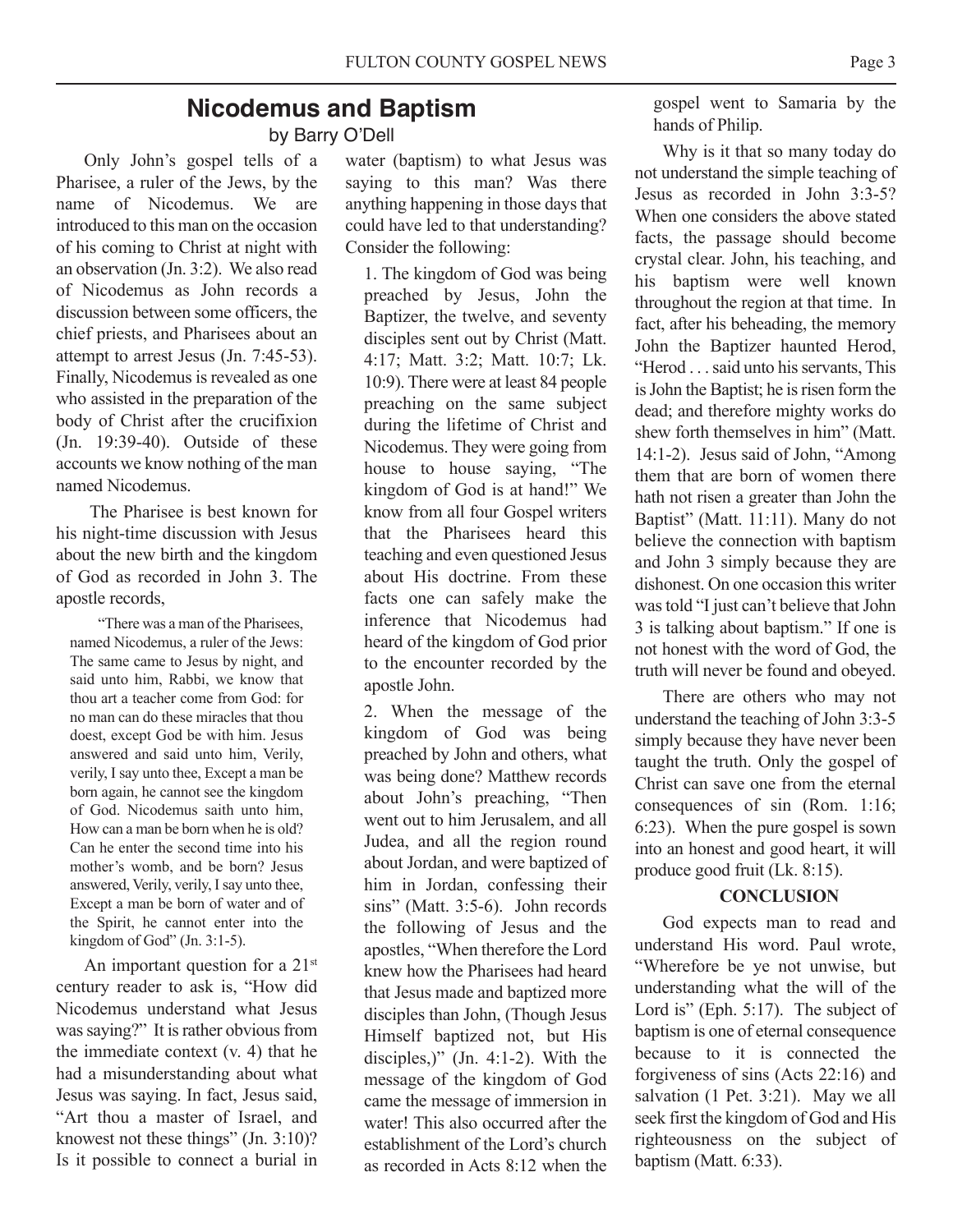#### **Nicodemus and Baptism** by Barry O'Dell

Only John's gospel tells of a Pharisee, a ruler of the Jews, by the name of Nicodemus. We are introduced to this man on the occasion of his coming to Christ at night with an observation (Jn. 3:2). We also read of Nicodemus as John records a discussion between some officers, the chief priests, and Pharisees about an attempt to arrest Jesus (Jn. 7:45-53). Finally, Nicodemus is revealed as one who assisted in the preparation of the body of Christ after the crucifixion (Jn. 19:39-40). Outside of these accounts we know nothing of the man named Nicodemus.

The Pharisee is best known for his night-time discussion with Jesus about the new birth and the kingdom of God as recorded in John 3. The apostle records,

"There was a man of the Pharisees, named Nicodemus, a ruler of the Jews: The same came to Jesus by night, and said unto him, Rabbi, we know that thou art a teacher come from God: for no man can do these miracles that thou doest, except God be with him. Jesus answered and said unto him, Verily, verily, I say unto thee, Except a man be born again, he cannot see the kingdom of God. Nicodemus saith unto him, How can a man be born when he is old? Can he enter the second time into his mother's womb, and be born? Jesus answered, Verily, verily, Isay unto thee, Except a man be born of water and of the Spirit, he cannot enter into the kingdom of God" (Jn. 3:1-5).

An important question for a 21<sup>st</sup> century reader to ask is, "How did Nicodemus understand what Jesus was saying?" It is rather obvious from the immediate context (v. 4) that he had a misunderstanding about what Jesus was saying. In fact, Jesus said, "Art thou a master of Israel, and knowest not these things" (Jn. 3:10)? Is it possible to connect a burial in

water (baptism) to what Jesus was saying to this man? Was there anything happening in those days that could have led to that understanding? Consider the following:

1. The kingdom of God was being preached by Jesus, John the Baptizer, the twelve, and seventy disciples sent out by Christ (Matt. 4:17; Matt. 3:2; Matt. 10:7; Lk. 10:9). There were at least 84 people preaching on the same subject during the lifetime of Christ and Nicodemus. They were going from house to house saying, "The kingdom of God is at hand!" We know from all four Gospel writers that the Pharisees heard this teaching and even questioned Jesus about His doctrine. From these facts one can safely make the inference that Nicodemus had heard of the kingdom of God prior to the encounter recorded by the apostle John.

2. When the message of the kingdom of God was being preached by John and others, what was being done? Matthew records about John's preaching, "Then went out to him Jerusalem, and all Judea, and all the region round about Jordan, and were baptized of him in Jordan, confessing their sins" (Matt. 3:5-6). John records the following of Jesus and the apostles, "When therefore the Lord knew how the Pharisees had heard that Jesus made and baptized more disciples than John, (Though Jesus Himself baptized not, but His disciples,)" (Jn. 4:1-2). With the message of the kingdom of God came the message of immersion in water! This also occurred after the establishment of the Lord's church as recorded in Acts 8:12 when the

gospel went to Samaria by the hands of Philip.

Why is it that so many today do not understand the simple teaching of Jesus as recorded in John 3:3-5? When one considers the above stated facts, the passage should become crystal clear. John, his teaching, and his baptism were well known throughout the region at that time. In fact, after his beheading, the memory John the Baptizer haunted Herod, "Herod . . . said unto his servants. This is John the Baptist; he is risen form the dead; and therefore mighty works do shew forth themselves in him" (Matt. 14:1-2). Jesus said of John, "Among them that are born of women there hath not risen a greater than John the Baptist" (Matt. 11:11). Many do not believe the connection with baptism and John 3 simply because they are dishonest. On one occasion this writer was told "I just can't believe that John 3 is talking about baptism." If one is not honest with the word of God, the truth will never be found and obeyed.

There are others who may not understand the teaching of John 3:3-5 simply because they have never been taught the truth. Only the gospel of Christ can save one from the eternal consequences of sin (Rom. 1:16; 6:23). When the pure gospel is sown into an honest and good heart, it will produce good fruit (Lk. 8:15).

#### **CONCLUSION**

God expects man to read and understand His word. Paul wrote, "Wherefore be ye not unwise, but understanding what the will of the Lord is" (Eph. 5:17). The subject of baptism is one of eternal consequence because to it is connected the forgiveness of sins (Acts 22:16) and salvation (1 Pet. 3:21). May we all seek first the kingdom of God and His righteousness on the subject of baptism (Matt. 6:33).